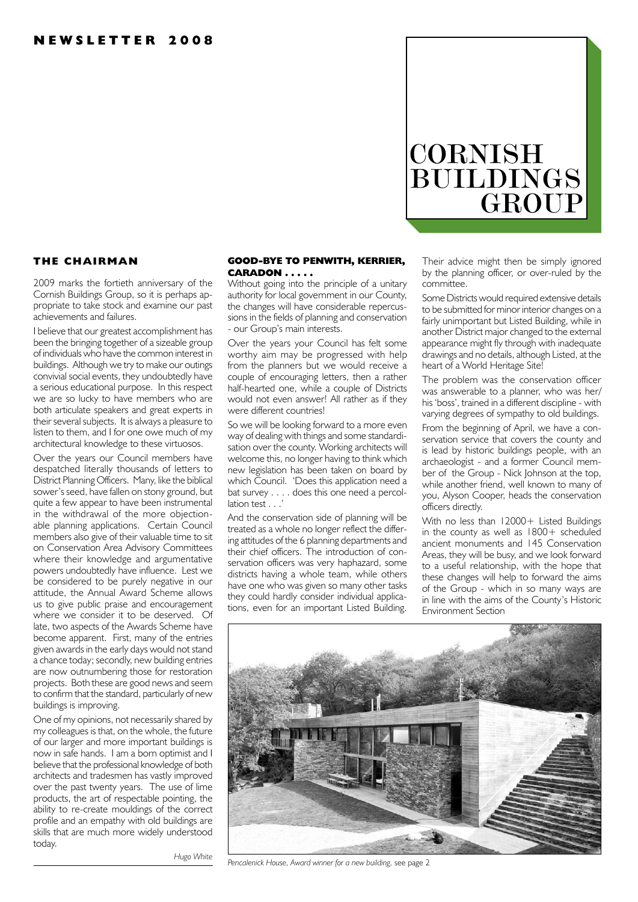# **CORNISH BUILDINGS** GROUP

# **THE CHAIRMAN**

2009 marks the fortieth anniversary of the Cornish Buildings Group, so it is perhaps appropriate to take stock and examine our past achievements and failures.

I believe that our greatest accomplishment has been the bringing together of a sizeable group of individuals who have the common interest in buildings. Although we try to make our outings convivial social events, they undoubtedly have a serious educational purpose. In this respect we are so lucky to have members who are both articulate speakers and great experts in their several subjects. It is always a pleasure to listen to them, and I for one owe much of my architectural knowledge to these virtuosos.

Over the years our Council members have despatched literally thousands of letters to District Planning Officers. Many, like the biblical sower's seed, have fallen on stony ground, but quite a few appear to have been instrumental in the withdrawal of the more objectionable planning applications. Certain Council members also give of their valuable time to sit on Conservation Area Advisory Committees where their knowledge and argumentative powers undoubtedly have influence. Lest we be considered to be purely negative in our attitude, the Annual Award Scheme allows us to give public praise and encouragement where we consider it to be deserved. Of late, two aspects of the Awards Scheme have become apparent. First, many of the entries given awards in the early days would not stand a chance today; secondly, new building entries are now outnumbering those for restoration projects. Both these are good news and seem to confirm that the standard, particularly of new buildings is improving.

One of my opinions, not necessarily shared by my colleagues is that, on the whole, the future of our larger and more important buildings is now in safe hands. I am a born optimist and I believe that the professional knowledge of both architects and tradesmen has vastly improved over the past twenty years. The use of lime products, the art of respectable pointing, the ability to re-create mouldings of the correct profile and an empathy with old buildings are skills that are much more widely understood today.

#### **GOOD-BYE TO PENWITH, KERRIER, CARADON . . . . .**

Without going into the principle of a unitary authority for local government in our County, the changes will have considerable repercussions in the fields of planning and conservation - our Group's main interests.

Over the years your Council has felt some worthy aim may be progressed with help from the planners but we would receive a couple of encouraging letters, then a rather half-hearted one, while a couple of Districts would not even answer! All rather as if they were different countries!

So we will be looking forward to a more even way of dealing with things and some standardisation over the county. Working architects will welcome this, no longer having to think which new legislation has been taken on board by which Council. 'Does this application need a bat survey . . . . does this one need a percol $lation$  test ...

And the conservation side of planning will be treated as a whole no longer reflect the differing attitudes of the 6 planning departments and their chief officers. The introduction of conservation officers was very haphazard, some districts having a whole team, while others have one who was given so many other tasks they could hardly consider individual applications, even for an important Listed Building.

Their advice might then be simply ignored by the planning officer, or over-ruled by the committee.

Some Districts would required extensive details to be submitted for minor interior changes on a fairly unimportant but Listed Building, while in another District major changed to the external appearance might fly through with inadequate drawings and no details, although Listed, at the heart of a World Heritage Site!

The problem was the conservation officer was answerable to a planner, who was her/ his 'boss', trained in a different discipline - with varying degrees of sympathy to old buildings.

From the beginning of April, we have a conservation service that covers the county and is lead by historic buildings people, with an archaeologist - and a former Council member of the Group - Nick Johnson at the top, while another friend, well known to many of you, Alyson Cooper, heads the conservation officers directly.

With no less than 12000+ Listed Buildings in the county as well as 1800+ scheduled ancient monuments and 145 Conservation Areas, they will be busy, and we look forward to a useful relationship, with the hope that these changes will help to forward the aims of the Group - which in so many ways are in line with the aims of the County's Historic Environment Section



*Pencalenick House, Award winner for a new building,* see page 2

*Hugo White*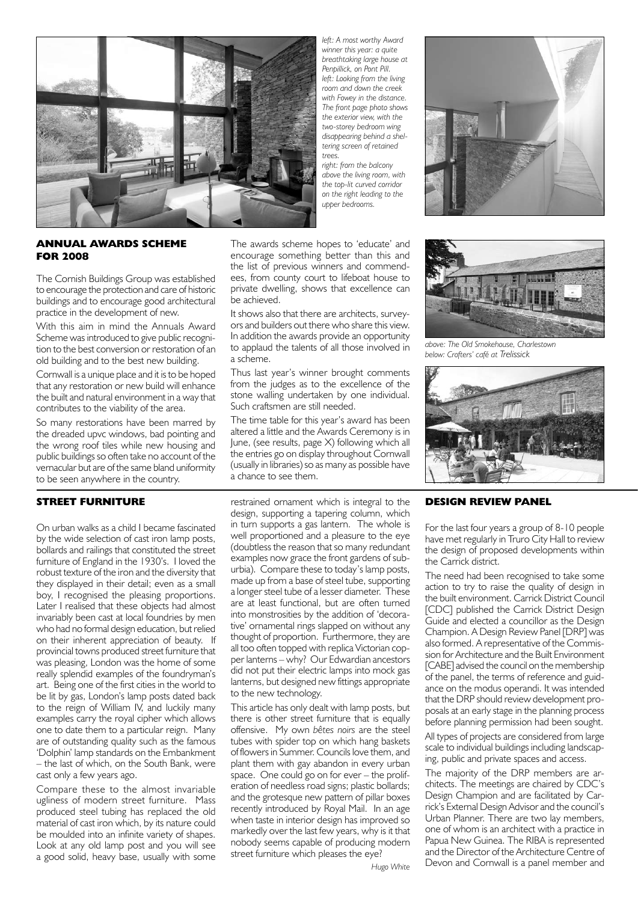

*left: A most worthy Award winner this year: a quite breathtaking large house at Penpillick, on Pont Pill. left: Looking from the living room and down the creek with Fowey in the distance. The front page photo shows the exterior view, with the two-storey bedroom wing disappearing behind a sheltering screen of retained trees.*

*right: from the balcony above the living room, with the top-lit curved corridor on the right leading to the upper bedrooms.*



# **ANNUAL AWARDS SCHEME FOR 2008**

The Cornish Buildings Group was established to encourage the protection and care of historic buildings and to encourage good architectural practice in the development of new.

With this aim in mind the Annuals Award Scheme was introduced to give public recognition to the best conversion or restoration of an old building and to the best new building.

Cornwall is a unique place and it is to be hoped that any restoration or new build will enhance the built and natural environment in a way that contributes to the viability of the area.

So many restorations have been marred by the dreaded upvc windows, bad pointing and the wrong roof tiles while new housing and public buildings so often take no account of the vernacular but are of the same bland uniformity to be seen anywhere in the country.

## **STREET FURNITURE**

On urban walks as a child I became fascinated by the wide selection of cast iron lamp posts, bollards and railings that constituted the street furniture of England in the 1930's. I loved the robust texture of the iron and the diversity that they displayed in their detail: even as a small boy, I recognised the pleasing proportions. Later I realised that these objects had almost invariably been cast at local foundries by men who had no formal design education, but relied on their inherent appreciation of beauty. If provincial towns produced street furniture that was pleasing, London was the home of some really splendid examples of the foundryman's art. Being one of the first cities in the world to be lit by gas, London's lamp posts dated back to the reign of William IV, and luckily many examples carry the royal cipher which allows one to date them to a particular reign. Many are of outstanding quality such as the famous 'Dolphin' lamp standards on the Embankment – the last of which, on the South Bank, were cast only a few years ago.

Compare these to the almost invariable ugliness of modern street furniture. Mass produced steel tubing has replaced the old material of cast iron which, by its nature could be moulded into an infinite variety of shapes. Look at any old lamp post and you will see a good solid, heavy base, usually with some

The awards scheme hopes to 'educate' and encourage something better than this and the list of previous winners and commendees, from county court to lifeboat house to private dwelling, shows that excellence can be achieved.

It shows also that there are architects, surveyors and builders out there who share this view. In addition the awards provide an opportunity to applaud the talents of all those involved in a scheme.

Thus last year's winner brought comments from the judges as to the excellence of the stone walling undertaken by one individual. Such craftsmen are still needed.

The time table for this year's award has been altered a little and the Awards Ceremony is in June, (see results, page X) following which all the entries go on display throughout Cornwall (usually in libraries) so as many as possible have a chance to see them.

restrained ornament which is integral to the design, supporting a tapering column, which in turn supports a gas lantern. The whole is well proportioned and a pleasure to the eye (doubtless the reason that so many redundant examples now grace the front gardens of suburbia). Compare these to today's lamp posts, made up from a base of steel tube, supporting a longer steel tube of a lesser diameter. These are at least functional, but are often turned into monstrosities by the addition of 'decorative' ornamental rings slapped on without any thought of proportion. Furthermore, they are all too often topped with replica Victorian copper lanterns – why? Our Edwardian ancestors did not put their electric lamps into mock gas lanterns, but designed new fittings appropriate to the new technology.

This article has only dealt with lamp posts, but there is other street furniture that is equally offensive. My own *bêtes noirs* are the steel tubes with spider top on which hang baskets of flowers in Summer. Councils love them, and plant them with gay abandon in every urban space. One could go on for ever – the proliferation of needless road signs; plastic bollards; and the grotesque new pattern of pillar boxes recently introduced by Royal Mail. In an age when taste in interior design has improved so markedly over the last few years, why is it that nobody seems capable of producing modern street furniture which pleases the eye?



*above: The Old Smokehouse, Charlestown below: Crofters' café at Trelissick*



## **DESIGN REVIEW PANEL**

For the last four years a group of 8-10 people have met regularly in Truro City Hall to review the design of proposed developments within the Carrick district.

The need had been recognised to take some action to try to raise the quality of design in the built environment. Carrick District Council [CDC] published the Carrick District Design Guide and elected a councillor as the Design Champion. A Design Review Panel [DRP] was also formed. A representative of the Commission for Architecture and the Built Environment [CABE] advised the council on the membership of the panel, the terms of reference and guidance on the modus operandi. It was intended that the DRP should review development proposals at an early stage in the planning process before planning permission had been sought.

All types of projects are considered from large scale to individual buildings including landscaping, public and private spaces and access.

The majority of the DRP members are architects. The meetings are chaired by CDC's Design Champion and are facilitated by Carrick's External Design Advisor and the council's Urban Planner. There are two lay members, one of whom is an architect with a practice in Papua New Guinea. The RIBA is represented and the Director of the Architecture Centre of Devon and Cornwall is a panel member and

*Hugo White*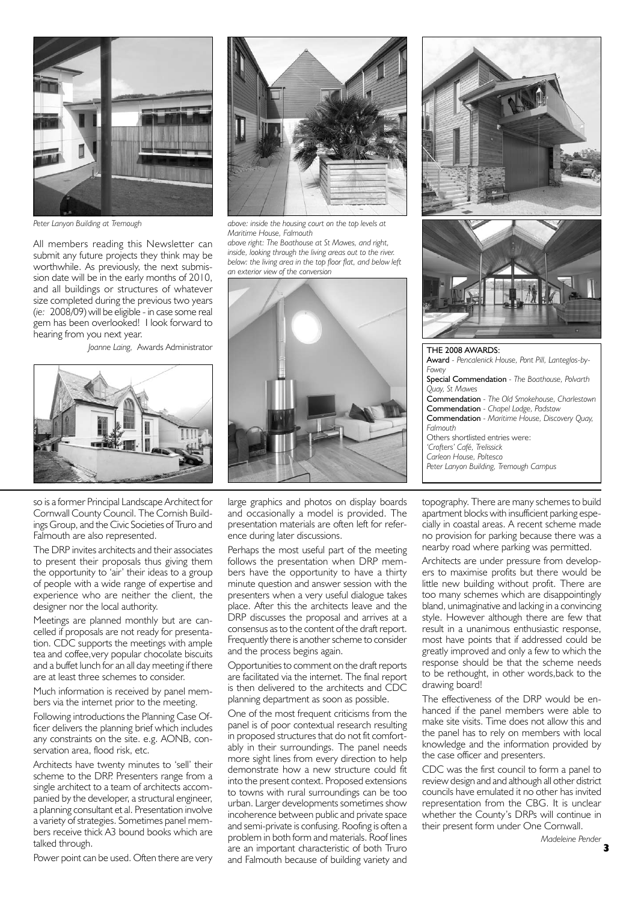

*Peter Lanyon Building at Tremough*

All members reading this Newsletter can submit any future projects they think may be worthwhile. As previously, the next submission date will be in the early months of 2010, and all buildings or structures of whatever size completed during the previous two years (*ie:* 2008/09) will be eligible - in case some real gem has been overlooked! I look forward to hearing from you next year.

*Joanne Laing,* Awards Administrator



so is a former Principal Landscape Architect for Cornwall County Council. The Cornish Buildings Group, and the Civic Societies of Truro and Falmouth are also represented.

The DRP invites architects and their associates to present their proposals thus giving them the opportunity to 'air' their ideas to a group of people with a wide range of expertise and experience who are neither the client, the designer nor the local authority.

Meetings are planned monthly but are cancelled if proposals are not ready for presentation. CDC supports the meetings with ample tea and coffee,very popular chocolate biscuits and a buffet lunch for an all day meeting if there are at least three schemes to consider.

Much information is received by panel members via the internet prior to the meeting.

Following introductions the Planning Case Officer delivers the planning brief which includes any constraints on the site. e.g. AONB, conservation area, flood risk, etc.

Architects have twenty minutes to 'sell' their scheme to the DRP. Presenters range from a single architect to a team of architects accompanied by the developer, a structural engineer, a planning consultant et al. Presentation involve a variety of strategies. Sometimes panel members receive thick A3 bound books which are talked through.

Power point can be used. Often there are very



*above: inside the housing court on the top levels at Maritime House, Falmouth*

*above right: The Boathouse at St Mawes, and right, inside, looking through the living areas out to the river. below: the living area in the top floor flat, and below left an exterior view of the conversion*



large graphics and photos on display boards and occasionally a model is provided. The presentation materials are often left for reference during later discussions.

Perhaps the most useful part of the meeting follows the presentation when DRP members have the opportunity to have a thirty minute question and answer session with the presenters when a very useful dialogue takes place. After this the architects leave and the DRP discusses the proposal and arrives at a consensus as to the content of the draft report. Frequently there is another scheme to consider and the process begins again.

Opportunities to comment on the draft reports are facilitated via the internet. The final report is then delivered to the architects and CDC planning department as soon as possible.

One of the most frequent criticisms from the panel is of poor contextual research resulting in proposed structures that do not fit comfortably in their surroundings. The panel needs more sight lines from every direction to help demonstrate how a new structure could fit into the present context. Proposed extensions to towns with rural surroundings can be too urban. Larger developments sometimes show incoherence between public and private space and semi-private is confusing. Roofing is often a problem in both form and materials. Roof lines are an important characteristic of both Truro and Falmouth because of building variety and





THE 2008 AWARDS: Award *- Pencalenick House, Pont Pill, Lanteglos-by-Fowey* Special Commendation *- The Boathouse, Polvarth Quay, St Mawes* Commendation *- The Old Smokehouse, Charlestown* Commendation *- Chapel Lodge, Padstow* Commendation *- Maritime House, Discovery Quay, Falmouth* Others shortlisted entries were: *'Crofters' Café, Trelissick Carleon House, Poltesco Peter Lanyon Building, Tremough Campus*

topography. There are many schemes to build apartment blocks with insufficient parking especially in coastal areas. A recent scheme made no provision for parking because there was a nearby road where parking was permitted.

Architects are under pressure from developers to maximise profits but there would be little new building without profit. There are too many schemes which are disappointingly bland, unimaginative and lacking in a convincing style. However although there are few that result in a unanimous enthusiastic response, most have points that if addressed could be greatly improved and only a few to which the response should be that the scheme needs to be rethought, in other words,back to the drawing board!

The effectiveness of the DRP would be enhanced if the panel members were able to make site visits. Time does not allow this and the panel has to rely on members with local knowledge and the information provided by the case officer and presenters.

CDC was the first council to form a panel to review design and and although all other district councils have emulated it no other has invited representation from the CBG. It is unclear whether the County's DRPs will continue in their present form under One Cornwall.

**3** *Madeleine Pender*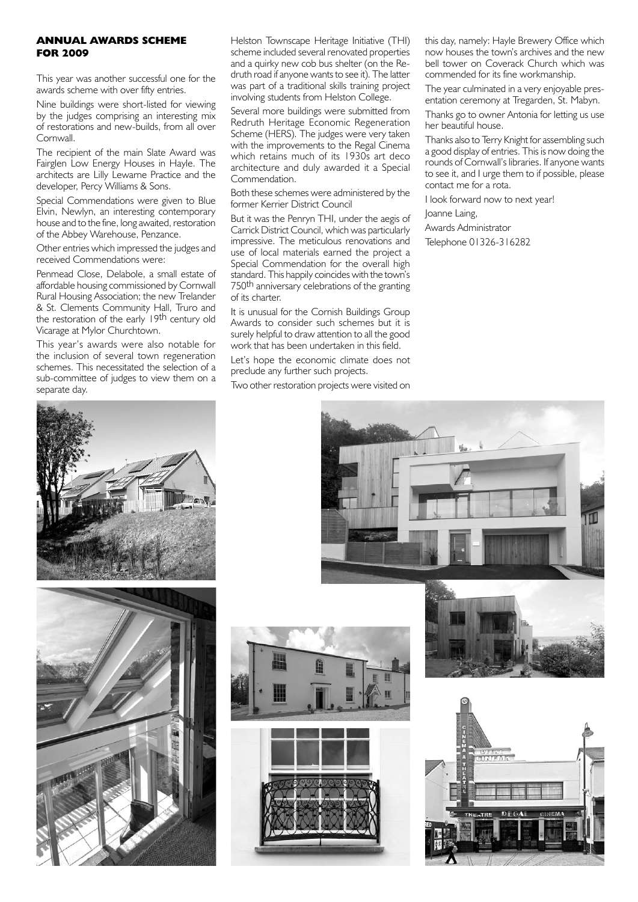# **ANNUAL AWARDS SCHEME FOR 2009**

This year was another successful one for the awards scheme with over fifty entries.

Nine buildings were short-listed for viewing by the judges comprising an interesting mix of restorations and new-builds, from all over **Cornwall** 

The recipient of the main Slate Award was Fairglen Low Energy Houses in Hayle. The architects are Lilly Lewarne Practice and the developer, Percy Williams & Sons.

Special Commendations were given to Blue Elvin, Newlyn, an interesting contemporary house and to the fine, long awaited, restoration of the Abbey Warehouse, Penzance.

Other entries which impressed the judges and received Commendations were:

Penmead Close, Delabole, a small estate of affordable housing commissioned by Cornwall Rural Housing Association; the new Trelander & St. Clements Community Hall, Truro and the restoration of the early 19th century old Vicarage at Mylor Churchtown.

This year's awards were also notable for the inclusion of several town regeneration schemes. This necessitated the selection of a sub-committee of judges to view them on a separate day.

Helston Townscape Heritage Initiative (THI) scheme included several renovated properties and a quirky new cob bus shelter (on the Redruth road if anyone wants to see it). The latter was part of a traditional skills training project involving students from Helston College.

Several more buildings were submitted from Redruth Heritage Economic Regeneration Scheme (HERS). The judges were very taken with the improvements to the Regal Cinema which retains much of its 1930s art deco architecture and duly awarded it a Special Commendation.

Both these schemes were administered by the former Kerrier District Council

But it was the Penryn THI, under the aegis of Carrick District Council, which was particularly impressive. The meticulous renovations and use of local materials earned the project a Special Commendation for the overall high standard. This happily coincides with the town's 750th anniversary celebrations of the granting of its charter.

It is unusual for the Cornish Buildings Group Awards to consider such schemes but it is surely helpful to draw attention to all the good work that has been undertaken in this field.

Let's hope the economic climate does not preclude any further such projects.

Two other restoration projects were visited on

this day, namely: Hayle Brewery Office which now houses the town's archives and the new bell tower on Coverack Church which was commended for its fine workmanship.

The year culminated in a very enjoyable presentation ceremony at Tregarden, St. Mabyn.

Thanks go to owner Antonia for letting us use her beautiful house.

Thanks also to Terry Knight for assembling such a good display of entries. This is now doing the rounds of Cornwall's libraries. If anyone wants to see it, and I urge them to if possible, please contact me for a rota.

I look forward now to next year!

Joanne Laing,

Awards Administrator

Telephone 01326-316282









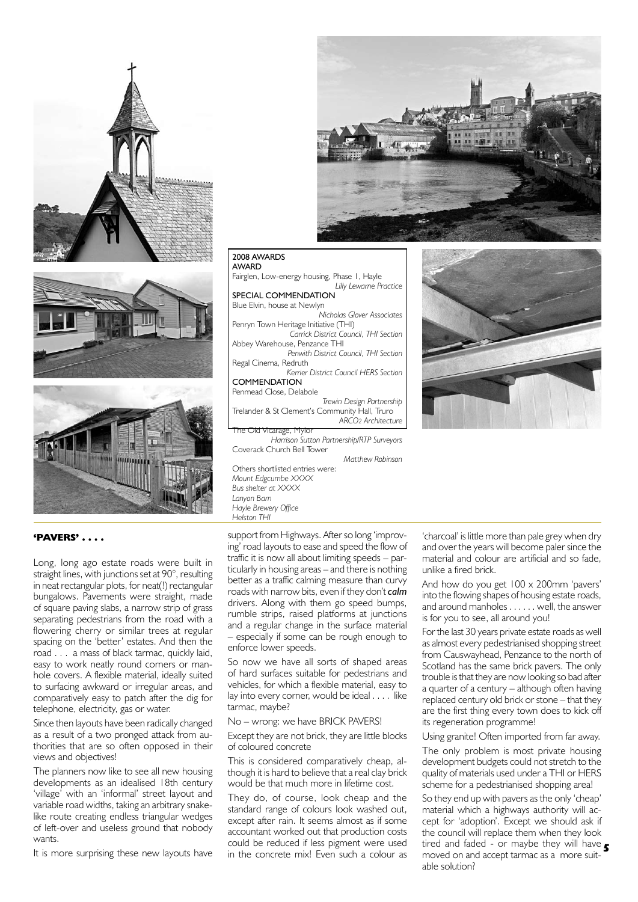





#### 2008 AWARDS AWARD

Fairglen, Low-energy housing, Phase 1, Hayle *Lilly Lewarne Practice*

SPECIAL COMMENDATION Blue Elvin, house at Newlyn *Nicholas Glover Associates* Penryn Town Heritage Initiative (THI) *Carrick District Council, THI Section* Abbey Warehouse, Penzance THI *Penwith District Council, THI Section* Regal Cinema, Redruth *Kerrier District Council HERS Section* **COMMENDATION** Penmead Close, Delabole *Trewin Design Partnership* Trelander & St Clement's Community Hall, Truro *ARCO2 Architecture* Vicarage, Mylor *Harrison Sutton Partnership/RTP Surveyors*

*Matthew Robinson*

Others shortlisted entries were: *Mount Edgcumbe XXXX Bus shelter at XXXX Lanyon Barn Hayle Brewery Office Helston THI*

Coverack Church Bell Tower

## **'PAVERS' . . . .**

Long, long ago estate roads were built in straight lines, with junctions set at 90°, resulting in neat rectangular plots, for neat(!) rectangular bungalows. Pavements were straight, made of square paving slabs, a narrow strip of grass separating pedestrians from the road with a flowering cherry or similar trees at regular spacing on the 'better' estates. And then the road . . . a mass of black tarmac, quickly laid, easy to work neatly round corners or manhole covers. A flexible material, ideally suited to surfacing awkward or irregular areas, and comparatively easy to patch after the dig for telephone, electricity, gas or water.

Since then layouts have been radically changed as a result of a two pronged attack from authorities that are so often opposed in their views and objectives!

The planners now like to see all new housing developments as an idealised 18th century 'village' with an 'informal' street layout and variable road widths, taking an arbitrary snakelike route creating endless triangular wedges of left-over and useless ground that nobody wants.

It is more surprising these new layouts have

support from Highways. After so long 'improving' road layouts to ease and speed the flow of traffic it is now all about limiting speeds – particularly in housing areas – and there is nothing better as a traffic calming measure than curvy roads with narrow bits, even if they don't *calm* drivers. Along with them go speed bumps, rumble strips, raised platforms at junctions and a regular change in the surface material – especially if some can be rough enough to enforce lower speeds.

So now we have all sorts of shaped areas of hard surfaces suitable for pedestrians and vehicles, for which a flexible material, easy to lay into every corner, would be ideal . . . . like tarmac, maybe?

No – wrong: we have BRICK PAVERS!

Except they are not brick, they are little blocks of coloured concrete

This is considered comparatively cheap, although it is hard to believe that a real clay brick would be that much more in lifetime cost.

They do, of course, look cheap and the standard range of colours look washed out, except after rain. It seems almost as if some accountant worked out that production costs could be reduced if less pigment were used in the concrete mix! Even such a colour as

'charcoal' is little more than pale grey when dry and over the years will become paler since the material and colour are artificial and so fade, unlike a fired brick.

And how do you get 100 x 200mm 'pavers' into the flowing shapes of housing estate roads, and around manholes . . . . . . well, the answer is for you to see, all around you!

For the last 30 years private estate roads as well as almost every pedestrianised shopping street from Causwayhead, Penzance to the north of Scotland has the same brick pavers. The only trouble is that they are now looking so bad after a quarter of a century – although often having replaced century old brick or stone – that they are the first thing every town does to kick off its regeneration programme!

Using granite! Often imported from far away.

The only problem is most private housing development budgets could not stretch to the quality of materials used under a THI or HERS scheme for a pedestrianised shopping area!

tired and faded - or maybe they will have **5** So they end up with pavers as the only 'cheap' material which a highways authority will accept for 'adoption'. Except we should ask if the council will replace them when they look moved on and accept tarmac as a more suitable solution?